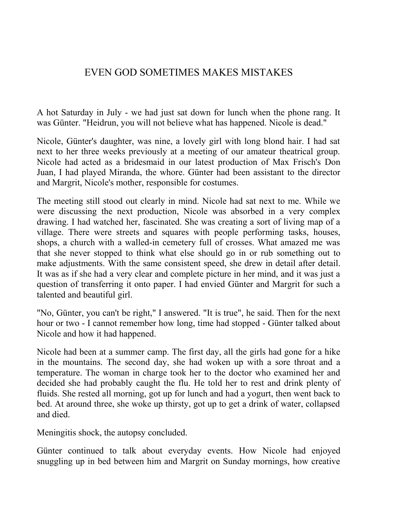## EVEN GOD SOMETIMES MAKES MISTAKES

A hot Saturday in July - we had just sat down for lunch when the phone rang. It was Günter. "Heidrun, you will not believe what has happened. Nicole is dead."

Nicole, Günter's daughter, was nine, a lovely girl with long blond hair. I had sat next to her three weeks previously at a meeting of our amateur theatrical group. Nicole had acted as a bridesmaid in our latest production of Max Frisch's Don Juan, I had played Miranda, the whore. Günter had been assistant to the director and Margrit, Nicole's mother, responsible for costumes.

The meeting still stood out clearly in mind. Nicole had sat next to me. While we were discussing the next production, Nicole was absorbed in a very complex drawing. I had watched her, fascinated. She was creating a sort of living map of a village. There were streets and squares with people performing tasks, houses, shops, a church with a walled-in cemetery full of crosses. What amazed me was that she never stopped to think what else should go in or rub something out to make adjustments. With the same consistent speed, she drew in detail after detail. It was as if she had a very clear and complete picture in her mind, and it was just a question of transferring it onto paper. I had envied Günter and Margrit for such a talented and beautiful girl.

"No, Günter, you can't be right," I answered. "It is true", he said. Then for the next hour or two - I cannot remember how long, time had stopped - Günter talked about Nicole and how it had happened.

Nicole had been at a summer camp. The first day, all the girls had gone for a hike in the mountains. The second day, she had woken up with a sore throat and a temperature. The woman in charge took her to the doctor who examined her and decided she had probably caught the flu. He told her to rest and drink plenty of fluids. She rested all morning, got up for lunch and had a yogurt, then went back to bed. At around three, she woke up thirsty, got up to get a drink of water, collapsed and died.

Meningitis shock, the autopsy concluded.

Günter continued to talk about everyday events. How Nicole had enjoyed snuggling up in bed between him and Margrit on Sunday mornings, how creative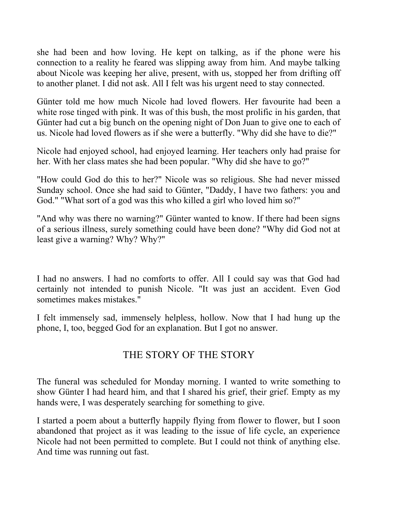she had been and how loving. He kept on talking, as if the phone were his connection to a reality he feared was slipping away from him. And maybe talking about Nicole was keeping her alive, present, with us, stopped her from drifting off to another planet. I did not ask. All I felt was his urgent need to stay connected.

Günter told me how much Nicole had loved flowers. Her favourite had been a white rose tinged with pink. It was of this bush, the most prolific in his garden, that Günter had cut a big bunch on the opening night of Don Juan to give one to each of us. Nicole had loved flowers as if she were a butterfly. "Why did she have to die?"

Nicole had enjoyed school, had enjoyed learning. Her teachers only had praise for her. With her class mates she had been popular. "Why did she have to go?"

"How could God do this to her?" Nicole was so religious. She had never missed Sunday school. Once she had said to Günter, "Daddy, I have two fathers: you and God." "What sort of a god was this who killed a girl who loved him so?"

"And why was there no warning?" Günter wanted to know. If there had been signs of a serious illness, surely something could have been done? "Why did God not at least give a warning? Why? Why?"

I had no answers. I had no comforts to offer. All I could say was that God had certainly not intended to punish Nicole. "It was just an accident. Even God sometimes makes mistakes."

I felt immensely sad, immensely helpless, hollow. Now that I had hung up the phone, I, too, begged God for an explanation. But I got no answer.

## THE STORY OF THE STORY

The funeral was scheduled for Monday morning. I wanted to write something to show Günter I had heard him, and that I shared his grief, their grief. Empty as my hands were, I was desperately searching for something to give.

I started a poem about a butterfly happily flying from flower to flower, but I soon abandoned that project as it was leading to the issue of life cycle, an experience Nicole had not been permitted to complete. But I could not think of anything else. And time was running out fast.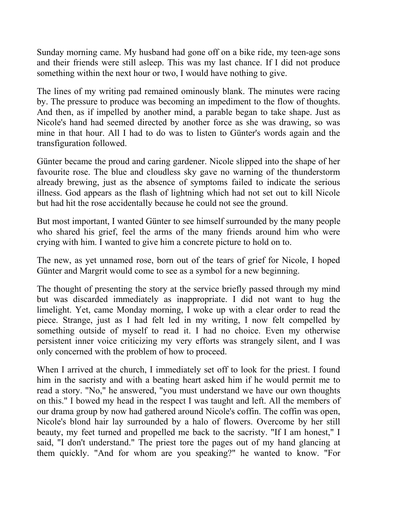Sunday morning came. My husband had gone off on a bike ride, my teen-age sons and their friends were still asleep. This was my last chance. If I did not produce something within the next hour or two, I would have nothing to give.

The lines of my writing pad remained ominously blank. The minutes were racing by. The pressure to produce was becoming an impediment to the flow of thoughts. And then, as if impelled by another mind, a parable began to take shape. Just as Nicole's hand had seemed directed by another force as she was drawing, so was mine in that hour. All I had to do was to listen to Günter's words again and the transfiguration followed.

Günter became the proud and caring gardener. Nicole slipped into the shape of her favourite rose. The blue and cloudless sky gave no warning of the thunderstorm already brewing, just as the absence of symptoms failed to indicate the serious illness. God appears as the flash of lightning which had not set out to kill Nicole but had hit the rose accidentally because he could not see the ground.

But most important, I wanted Günter to see himself surrounded by the many people who shared his grief, feel the arms of the many friends around him who were crying with him. I wanted to give him a concrete picture to hold on to.

The new, as yet unnamed rose, born out of the tears of grief for Nicole, I hoped Günter and Margrit would come to see as a symbol for a new beginning.

The thought of presenting the story at the service briefly passed through my mind but was discarded immediately as inappropriate. I did not want to hug the limelight. Yet, came Monday morning, I woke up with a clear order to read the piece. Strange, just as I had felt led in my writing, I now felt compelled by something outside of myself to read it. I had no choice. Even my otherwise persistent inner voice criticizing my very efforts was strangely silent, and I was only concerned with the problem of how to proceed.

When I arrived at the church, I immediately set off to look for the priest. I found him in the sacristy and with a beating heart asked him if he would permit me to read a story. "No," he answered, "you must understand we have our own thoughts on this." I bowed my head in the respect I was taught and left. All the members of our drama group by now had gathered around Nicole's coffin. The coffin was open, Nicole's blond hair lay surrounded by a halo of flowers. Overcome by her still beauty, my feet turned and propelled me back to the sacristy. "If I am honest," I said, "I don't understand." The priest tore the pages out of my hand glancing at them quickly. "And for whom are you speaking?" he wanted to know. "For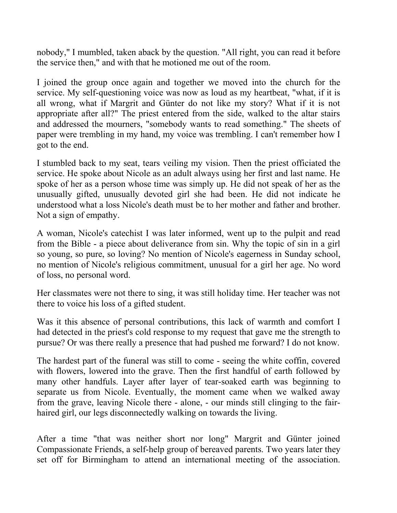nobody," I mumbled, taken aback by the question. "All right, you can read it before the service then," and with that he motioned me out of the room.

I joined the group once again and together we moved into the church for the service. My self-questioning voice was now as loud as my heartbeat, "what, if it is all wrong, what if Margrit and Günter do not like my story? What if it is not appropriate after all?" The priest entered from the side, walked to the altar stairs and addressed the mourners, "somebody wants to read something." The sheets of paper were trembling in my hand, my voice was trembling. I can't remember how I got to the end.

I stumbled back to my seat, tears veiling my vision. Then the priest officiated the service. He spoke about Nicole as an adult always using her first and last name. He spoke of her as a person whose time was simply up. He did not speak of her as the unusually gifted, unusually devoted girl she had been. He did not indicate he understood what a loss Nicole's death must be to her mother and father and brother. Not a sign of empathy.

A woman, Nicole's catechist I was later informed, went up to the pulpit and read from the Bible - a piece about deliverance from sin. Why the topic of sin in a girl so young, so pure, so loving? No mention of Nicole's eagerness in Sunday school, no mention of Nicole's religious commitment, unusual for a girl her age. No word of loss, no personal word.

Her classmates were not there to sing, it was still holiday time. Her teacher was not there to voice his loss of a gifted student.

Was it this absence of personal contributions, this lack of warmth and comfort I had detected in the priest's cold response to my request that gave me the strength to pursue? Or was there really a presence that had pushed me forward? I do not know.

The hardest part of the funeral was still to come - seeing the white coffin, covered with flowers, lowered into the grave. Then the first handful of earth followed by many other handfuls. Layer after layer of tear-soaked earth was beginning to separate us from Nicole. Eventually, the moment came when we walked away from the grave, leaving Nicole there - alone, - our minds still clinging to the fairhaired girl, our legs disconnectedly walking on towards the living.

After a time "that was neither short nor long" Margrit and Günter joined Compassionate Friends, a self-help group of bereaved parents. Two years later they set off for Birmingham to attend an international meeting of the association.